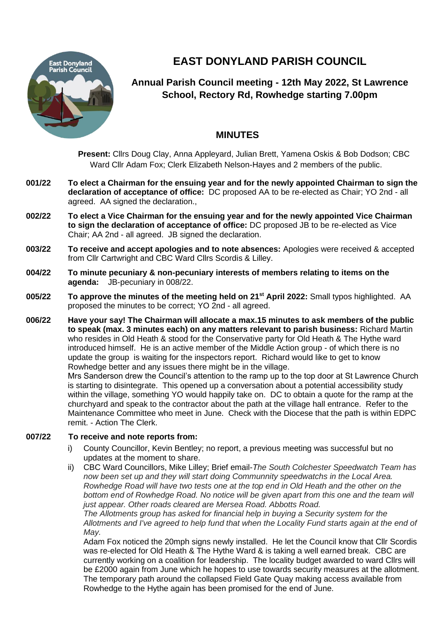

# **EAST DONYLAND PARISH COUNCIL**

## **Annual Parish Council meeting - 12th May 2022, St Lawrence School, Rectory Rd, Rowhedge starting 7.00pm**

### **MINUTES**

**Present:** Cllrs Doug Clay, Anna Appleyard, Julian Brett, Yamena Oskis & Bob Dodson; CBC Ward Cllr Adam Fox; Clerk Elizabeth Nelson-Hayes and 2 members of the public.

- **001/22 To elect a Chairman for the ensuing year and for the newly appointed Chairman to sign the declaration of acceptance of office:** DC proposed AA to be re-elected as Chair; YO 2nd - all agreed. AA signed the declaration.,
- **002/22 To elect a Vice Chairman for the ensuing year and for the newly appointed Vice Chairman to sign the declaration of acceptance of office:** DC proposed JB to be re-elected as Vice Chair; AA 2nd - all agreed. JB signed the declaration.
- **003/22 To receive and accept apologies and to note absences:** Apologies were received & accepted from Cllr Cartwright and CBC Ward Cllrs Scordis & Lilley.
- **004/22 To minute pecuniary & non-pecuniary interests of members relating to items on the agenda:** JB-pecuniary in 008/22.
- **005/22 To approve the minutes of the meeting held on 21st April 2022:** Small typos highlighted. AA proposed the minutes to be correct; YO 2nd - all agreed.
- **006/22 Have your say! The Chairman will allocate a max.15 minutes to ask members of the public to speak (max. 3 minutes each) on any matters relevant to parish business:** Richard Martin who resides in Old Heath & stood for the Conservative party for Old Heath & The Hythe ward introduced himself. He is an active member of the Middle Action group - of which there is no update the group is waiting for the inspectors report. Richard would like to get to know Rowhedge better and any issues there might be in the village.

Mrs Sanderson drew the Council's attention to the ramp up to the top door at St Lawrence Church is starting to disintegrate. This opened up a conversation about a potential accessibility study within the village, something YO would happily take on. DC to obtain a quote for the ramp at the churchyard and speak to the contractor about the path at the village hall entrance. Refer to the Maintenance Committee who meet in June. Check with the Diocese that the path is within EDPC remit. - Action The Clerk.

#### **007/22 To receive and note reports from:**

- i) County Councillor, Kevin Bentley; no report, a previous meeting was successful but no updates at the moment to share.
- ii) CBC Ward Councillors, Mike Lilley; Brief email-*The South Colchester Speedwatch Team has now been set up and they will start doing Communnity speedwatchs in the Local Area. Rowhedge Road will have two tests one at the top end in Old Heath and the other on the bottom end of Rowhedge Road. No notice will be given apart from this one and the team will just appear. Other roads cleared are Mersea Road. Abbotts Road.*

*The Allotments group has asked for financial help in buying a Security system for the Allotments and I've agreed to help fund that when the Locality Fund starts again at the end of May.*

Adam Fox noticed the 20mph signs newly installed. He let the Council know that Cllr Scordis was re-elected for Old Heath & The Hythe Ward & is taking a well earned break. CBC are currently working on a coalition for leadership. The locality budget awarded to ward Cllrs will be £2000 again from June which he hopes to use towards security measures at the allotment. The temporary path around the collapsed Field Gate Quay making access available from Rowhedge to the Hythe again has been promised for the end of June.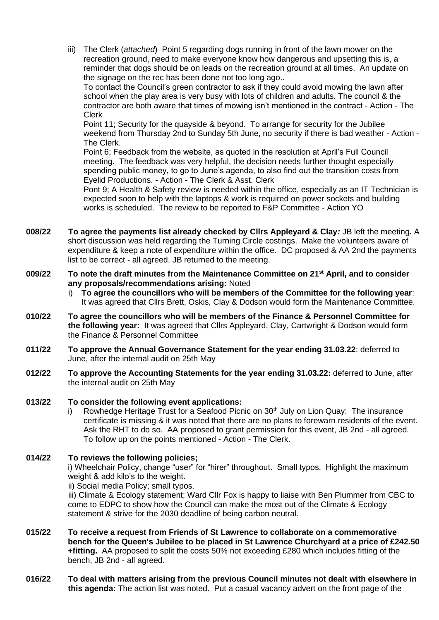iii) The Clerk (*attached*) Point 5 regarding dogs running in front of the lawn mower on the recreation ground, need to make everyone know how dangerous and upsetting this is, a reminder that dogs should be on leads on the recreation ground at all times. An update on the signage on the rec has been done not too long ago..

To contact the Council's green contractor to ask if they could avoid mowing the lawn after school when the play area is very busy with lots of children and adults. The council & the contractor are both aware that times of mowing isn't mentioned in the contract - Action - The Clerk

Point 11; Security for the quayside & beyond. To arrange for security for the Jubilee weekend from Thursday 2nd to Sunday 5th June, no security if there is bad weather - Action - The Clerk.

Point 6; Feedback from the website, as quoted in the resolution at April's Full Council meeting. The feedback was very helpful, the decision needs further thought especially spending public money, to go to June's agenda, to also find out the transition costs from Eyelid Productions. - Action - The Clerk & Asst. Clerk

Pont 9; A Health & Safety review is needed within the office, especially as an IT Technician is expected soon to help with the laptops & work is required on power sockets and building works is scheduled. The review to be reported to F&P Committee - Action YO

- **008/22 To agree the payments list already checked by Cllrs Appleyard & Clay***:* JB left the meeting*.* A short discussion was held regarding the Turning Circle costings. Make the volunteers aware of expenditure & keep a note of expenditure within the office. DC proposed & AA 2nd the payments list to be correct - all agreed. JB returned to the meeting.
- **009/22 To note the draft minutes from the Maintenance Committee on 21st April, and to consider any proposals/recommendations arising:** Noted
	- i) **To agree the councillors who will be members of the Committee for the following year**: It was agreed that Cllrs Brett, Oskis, Clay & Dodson would form the Maintenance Committee.
- **010/22 To agree the councillors who will be members of the Finance & Personnel Committee for the following year:** It was agreed that Cllrs Appleyard, Clay, Cartwright & Dodson would form the Finance & Personnel Committee
- **011/22 To approve the Annual Governance Statement for the year ending 31.03.22**: deferred to June, after the internal audit on 25th May
- **012/22 To approve the Accounting Statements for the year ending 31.03.22:** deferred to June, after the internal audit on 25th May
- **013/22 To consider the following event applications:**
	- Rowhedge Heritage Trust for a Seafood Picnic on 30<sup>th</sup> July on Lion Quay: The insurance certificate is missing & it was noted that there are no plans to forewarn residents of the event. Ask the RHT to do so. AA proposed to grant permission for this event, JB 2nd - all agreed. To follow up on the points mentioned - Action - The Clerk.
- **014/22 To reviews the following policies;** i) Wheelchair Policy, change "user" for "hirer" throughout. Small typos. Highlight the maximum weight & add kilo's to the weight.
	- ii) Social media Policy; small typos.

iii) Climate & Ecology statement; Ward Cllr Fox is happy to liaise with Ben Plummer from CBC to come to EDPC to show how the Council can make the most out of the Climate & Ecology statement & strive for the 2030 deadline of being carbon neutral.

- **015/22 To receive a request from Friends of St Lawrence to collaborate on a commemorative bench for the Queen's Jubilee to be placed in St Lawrence Churchyard at a price of £242.50 +fitting.** AA proposed to split the costs 50% not exceeding £280 which includes fitting of the bench, JB 2nd - all agreed.
- **016/22 To deal with matters arising from the previous Council minutes not dealt with elsewhere in this agenda:** The action list was noted. Put a casual vacancy advert on the front page of the